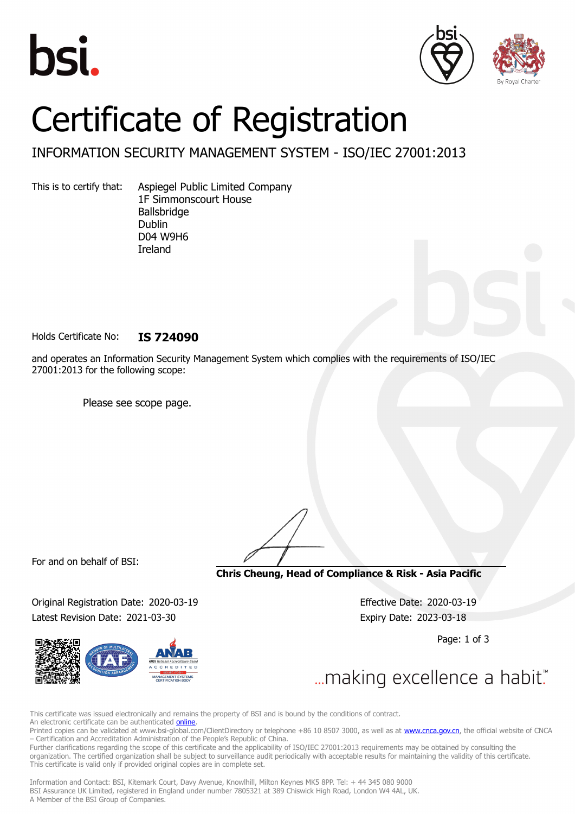





## Certificate of Registration

INFORMATION SECURITY MANAGEMENT SYSTEM - ISO/IEC 27001:2013

This is to certify that: Aspiegel Public Limited Company 1F Simmonscourt House Ballsbridge Dublin D04 W9H6 Ireland

Holds Certificate No: **IS 724090**

and operates an Information Security Management System which complies with the requirements of ISO/IEC 27001:2013 for the following scope:

Please see scope page.

For and on behalf of BSI:

**Chris Cheung, Head of Compliance & Risk - Asia Pacific**

Original Registration Date: 2020-03-19 Effective Date: 2020-03-19 Latest Revision Date: 2021-03-30 Expiry Date: 2023-03-18

Page: 1 of 3

... making excellence a habit."

This certificate was issued electronically and remains the property of BSI and is bound by the conditions of contract. An electronic certificate can be authenticated **[online](https://pgplus.bsigroup.com/CertificateValidation/CertificateValidator.aspx?CertificateNumber=IS+724090&ReIssueDate=30%2f03%2f2021&Template=cnen)**.

Printed copies can be validated at www.bsi-global.com/ClientDirectory or telephone +86 10 8507 3000, as well as at [www.cnca.gov.cn,](www.cnca.gov.cn) the official website of CNCA – Certification and Accreditation Administration of the People's Republic of China.

Further clarifications regarding the scope of this certificate and the applicability of ISO/IEC 27001:2013 requirements may be obtained by consulting the organization. The certified organization shall be subject to surveillance audit periodically with acceptable results for maintaining the validity of this certificate. This certificate is valid only if provided original copies are in complete set.

Information and Contact: BSI, Kitemark Court, Davy Avenue, Knowlhill, Milton Keynes MK5 8PP. Tel: + 44 345 080 9000 BSI Assurance UK Limited, registered in England under number 7805321 at 389 Chiswick High Road, London W4 4AL, UK. A Member of the BSI Group of Companies.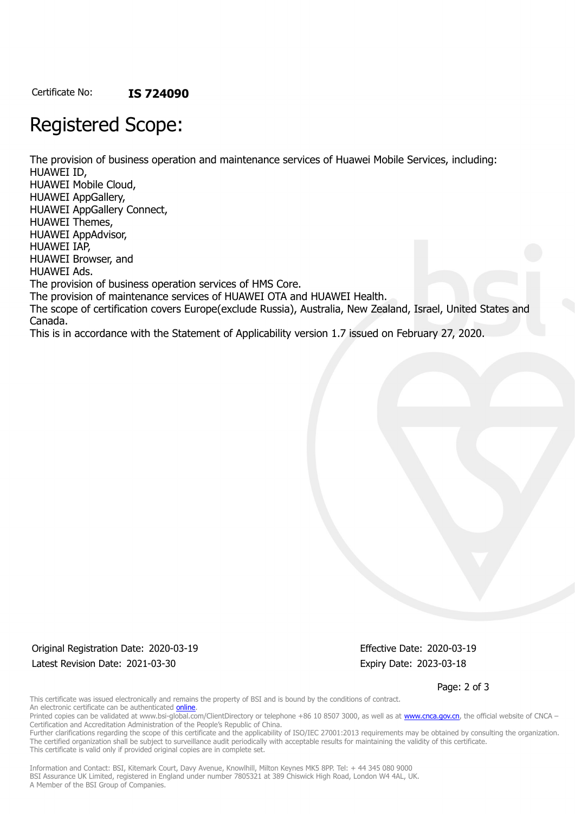Certificate No: **IS 724090**

## Registered Scope:

The provision of business operation and maintenance services of Huawei Mobile Services, including: HUAWEI ID, HUAWEI Mobile Cloud, HUAWEI AppGallery, HUAWEI AppGallery Connect, HUAWEI Themes, HUAWEI AppAdvisor, HUAWEI IAP, HUAWEI Browser, and HUAWEI Ads. The provision of business operation services of HMS Core. The provision of maintenance services of HUAWEI OTA and HUAWEI Health. The scope of certification covers Europe(exclude Russia), Australia, New Zealand, Israel, United States and Canada. This is in accordance with the Statement of Applicability version 1.7 issued on February 27, 2020.

Original Registration Date: 2020-03-19 Effective Date: 2020-03-19 Latest Revision Date: 2021-03-30 Expiry Date: 2023-03-18

Page: 2 of 3

This certificate was issued electronically and remains the property of BSI and is bound by the conditions of contract. An electronic certificate can be authenticated **[online](https://pgplus.bsigroup.com/CertificateValidation/CertificateValidator.aspx?CertificateNumber=IS+724090&ReIssueDate=30%2f03%2f2021&Template=cnen)**.

Printed copies can be validated at www.bsi-global.com/ClientDirectory or telephone +86 10 8507 3000, as well as at [www.cnca.gov.cn,](www.cnca.gov.cn) the official website of CNCA – Certification and Accreditation Administration of the People's Republic of China.

Further clarifications regarding the scope of this certificate and the applicability of ISO/IEC 27001:2013 requirements may be obtained by consulting the organization. The certified organization shall be subject to surveillance audit periodically with acceptable results for maintaining the validity of this certificate. This certificate is valid only if provided original copies are in complete set.

Information and Contact: BSI, Kitemark Court, Davy Avenue, Knowlhill, Milton Keynes MK5 8PP. Tel: + 44 345 080 9000 BSI Assurance UK Limited, registered in England under number 7805321 at 389 Chiswick High Road, London W4 4AL, UK. A Member of the BSI Group of Companies.